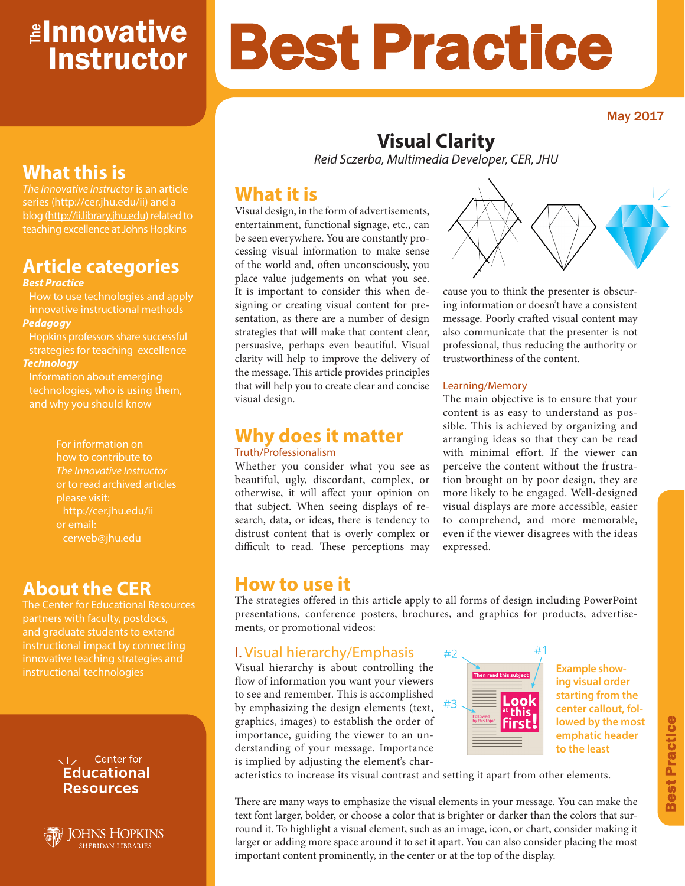# <mark>≇Innovative</mark> Instructor

May 2017

## **What this is**

*The Innovative Instructor* is an article series (http://cer.jhu.edu/ii) and a blog (http://ii.library.jhu.edu) related to teaching excellence at Johns Hopkins

## **Article categories**

#### *Best Practice*

How to use technologies and apply innovative instructional methods *Pedagogy*

Hopkins professors share successful strategies for teaching excellence *Technology*

Information about emerging technologies, who is using them, and why you should know

> For information on how to contribute to *The Innovative Instructor* or to read archived articles please visit: http://cer.jhu.edu/ii cerweb@jhu.edu

## **About the CER**

The Center for Educational Resources innovative teaching strategies and instructional technologies

#### VI<sub>z</sub> Center for **Educational Resources**

**JOHNS HOPKINS SHERIDAN LIBRARIES** 

# Best Practice

## **Visual Clarity**

*Reid Sczerba, Multimedia Developer, CER, JHU* 

## **What it is**

Visual design, in the form of advertisements, entertainment, functional signage, etc., can be seen everywhere. You are constantly processing visual information to make sense of the world and, often unconsciously, you place value judgements on what you see. It is important to consider this when designing or creating visual content for presentation, as there are a number of design strategies that will make that content clear, persuasive, perhaps even beautiful. Visual clarity will help to improve the delivery of the message. This article provides principles that will help you to create clear and concise visual design.

#### **Why does it matter** Truth/Professionalism

Whether you consider what you see as beautiful, ugly, discordant, complex, or otherwise, it will affect your opinion on that subject. When seeing displays of research, data, or ideas, there is tendency to distrust content that is overly complex or difficult to read. These perceptions may



cause you to think the presenter is obscuring information or doesn't have a consistent message. Poorly crafted visual content may also communicate that the presenter is not professional, thus reducing the authority or trustworthiness of the content.

#### Learning/Memory

The main objective is to ensure that your content is as easy to understand as possible. This is achieved by organizing and arranging ideas so that they can be read with minimal effort. If the viewer can perceive the content without the frustration brought on by poor design, they are more likely to be engaged. Well-designed visual displays are more accessible, easier to comprehend, and more memorable, even if the viewer disagrees with the ideas expressed.

## **How to use it**

The strategies offered in this article apply to all forms of design including PowerPoint presentations, conference posters, brochures, and graphics for products, advertisements, or promotional videos:

#### I. Visual hierarchy/Emphasis

Visual hierarchy is about controlling the flow of information you want your viewers to see and remember. This is accomplished by emphasizing the design elements (text, graphics, images) to establish the order of importance, guiding the viewer to an understanding of your message. Importance is implied by adjusting the element's char-



**Example showing visual order starting from the center callout, followed by the most emphatic header to the least**

acteristics to increase its visual contrast and setting it apart from other elements.

There are many ways to emphasize the visual elements in your message. You can make the text font larger, bolder, or choose a color that is brighter or darker than the colors that surround it. To highlight a visual element, such as an image, icon, or chart, consider making it larger or adding more space around it to set it apart. You can also consider placing the most important content prominently, in the center or at the top of the display.